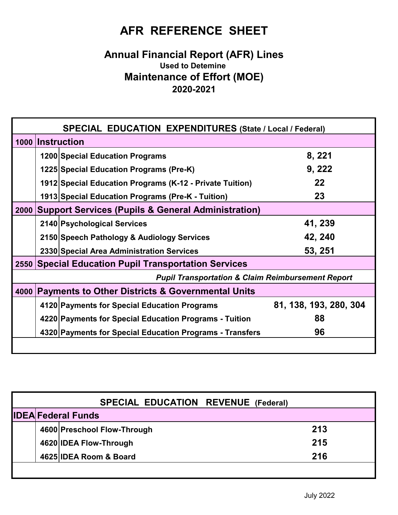## **AFR REFERENCE SHEET**

## **Annual Financial Report (AFR) Lines Used to Detemine Maintenance of Effort (MOE) 2020-2021**

| <b>SPECIAL EDUCATION EXPENDITURES (State / Local / Federal)</b> |                                                               |                                                          |                        |  |  |
|-----------------------------------------------------------------|---------------------------------------------------------------|----------------------------------------------------------|------------------------|--|--|
|                                                                 | 1000 Instruction                                              |                                                          |                        |  |  |
|                                                                 |                                                               | 1200 Special Education Programs                          | 8, 221                 |  |  |
|                                                                 |                                                               | 1225 Special Education Programs (Pre-K)                  | 9, 222                 |  |  |
|                                                                 |                                                               | 1912 Special Education Programs (K-12 - Private Tuition) | 22                     |  |  |
|                                                                 |                                                               | 1913 Special Education Programs (Pre-K - Tuition)        | 23                     |  |  |
| 2000                                                            | <b>Support Services (Pupils &amp; General Administration)</b> |                                                          |                        |  |  |
|                                                                 |                                                               | 2140 Psychological Services                              | 41, 239                |  |  |
|                                                                 |                                                               | 2150 Speech Pathology & Audiology Services               | 42, 240                |  |  |
|                                                                 |                                                               | 2330 Special Area Administration Services                | 53, 251                |  |  |
| 2550                                                            | <b>Special Education Pupil Transportation Services</b>        |                                                          |                        |  |  |
| <b>Pupil Transportation &amp; Claim Reimbursement Report</b>    |                                                               |                                                          |                        |  |  |
| 4000                                                            | <b>Payments to Other Districts &amp; Governmental Units</b>   |                                                          |                        |  |  |
|                                                                 |                                                               | 4120 Payments for Special Education Programs             | 81, 138, 193, 280, 304 |  |  |
|                                                                 |                                                               | 4220 Payments for Special Education Programs - Tuition   | 88                     |  |  |
|                                                                 |                                                               | 4320 Payments for Special Education Programs - Transfers | 96                     |  |  |
|                                                                 |                                                               |                                                          |                        |  |  |

| <b>SPECIAL EDUCATION REVENUE (Federal)</b> |                           |                             |     |  |  |  |
|--------------------------------------------|---------------------------|-----------------------------|-----|--|--|--|
|                                            | <b>IDEA Federal Funds</b> |                             |     |  |  |  |
|                                            |                           | 4600 Preschool Flow-Through | 213 |  |  |  |
|                                            |                           | 4620 IDEA Flow-Through      | 215 |  |  |  |
|                                            |                           | 4625 IDEA Room & Board      | 216 |  |  |  |
|                                            |                           |                             |     |  |  |  |